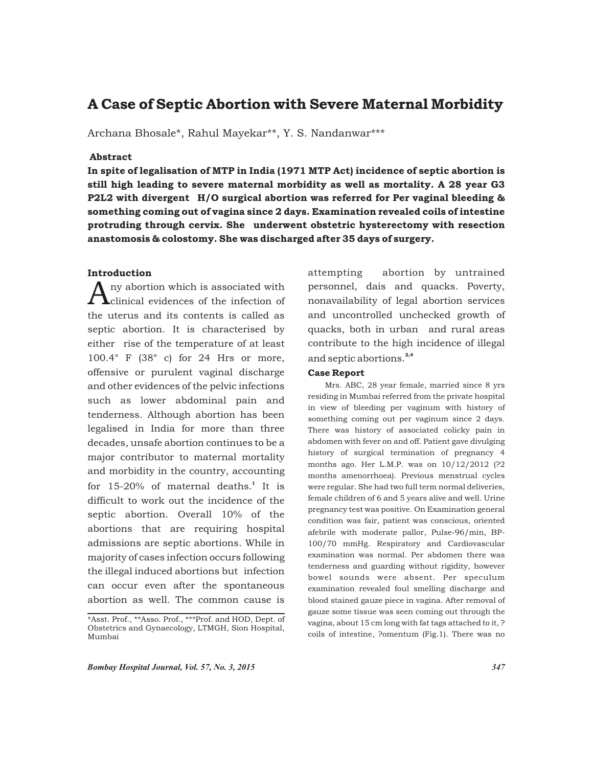# A Case of Septic Abortion with Severe Maternal Morbidity

Archana Bhosale\*, Rahul Mayekar\*\*, Y. S. Nandanwar\*\*\*

# Abstract

In spite of legalisation of MTP in India (1971 MTP Act) incidence of septic abortion is still high leading to severe maternal morbidity as well as mortality. A 28 year G3 P2L2 with divergent H/O surgical abortion was referred for Per vaginal bleeding & something coming out of vagina since 2 days. Examination revealed coils of intestine protruding through cervix. She underwent obstetric hysterectomy with resection anastomosis & colostomy. She was discharged after 35 days of surgery.

# Introduction

ny abortion which is associated with<br> **Aclinical evidences of the infection of** the uterus and its contents is called as septic abortion. It is characterised by either rise of the temperature of at least 100.4° F (38° c) for 24 Hrs or more, offensive or purulent vaginal discharge and other evidences of the pelvic infections such as lower abdominal pain and tenderness. Although abortion has been legalised in India for more than three decades, unsafe abortion continues to be a major contributor to maternal mortality and morbidity in the country, accounting for  $15-20\%$  of maternal deaths.<sup>1</sup> It is difficult to work out the incidence of the septic abortion. Overall 10% of the abortions that are requiring hospital admissions are septic abortions. While in majority of cases infection occurs following the illegal induced abortions but infection can occur even after the spontaneous abortion as well. The common cause is

attempting abortion by untrained personnel, dais and quacks. Poverty, nonavailability of legal abortion services and uncontrolled unchecked growth of quacks, both in urban and rural areas contribute to the high incidence of illegal and septic abortions.<sup>2,4</sup>

## Case Report

Mrs. ABC, 28 year female, married since 8 yrs residing in Mumbai referred from the private hospital in view of bleeding per vaginum with history of something coming out per vaginum since 2 days. There was history of associated colicky pain in abdomen with fever on and off. Patient gave divulging history of surgical termination of pregnancy 4 months ago. Her L.M.P. was on 10/12/2012 (?2 months amenorrhoea). Previous menstrual cycles were regular. She had two full term normal deliveries, female children of 6 and 5 years alive and well. Urine pregnancy test was positive. On Examination general condition was fair, patient was conscious, oriented afebrile with moderate pallor, Pulse-96/min, BP-100/70 mmHg. Respiratory and Cardiovascular examination was normal. Per abdomen there was tenderness and guarding without rigidity, however bowel sounds were absent. Per speculum examination revealed foul smelling discharge and blood stained gauze piece in vagina. After removal of gauze some tissue was seen coming out through the vagina, about 15 cm long with fat tags attached to it, ? coils of intestine, ?omentum (Fig.1). There was no

<sup>\*</sup>Asst. Prof., \*\*Asso. Prof., \*\*\*Prof. and HOD, Dept. of Obstetrics and Gynaecology, LTMGH, Sion Hospital, Mumbai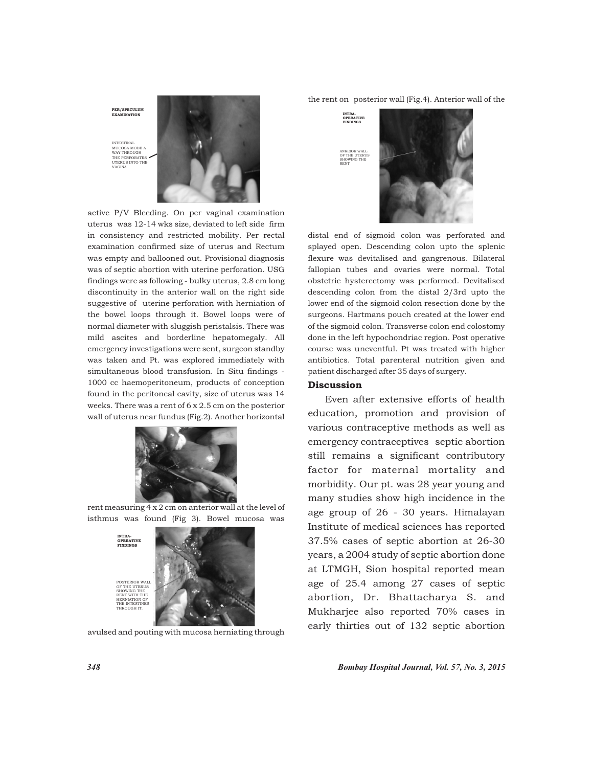

active P/V Bleeding. On per vaginal examination uterus was 12-14 wks size, deviated to left side firm in consistency and restricted mobility. Per rectal examination confirmed size of uterus and Rectum was empty and ballooned out. Provisional diagnosis was of septic abortion with uterine perforation. USG findings were as following - bulky uterus, 2.8 cm long discontinuity in the anterior wall on the right side suggestive of uterine perforation with herniation of the bowel loops through it. Bowel loops were of normal diameter with sluggish peristalsis. There was mild ascites and borderline hepatomegaly. All emergency investigations were sent, surgeon standby was taken and Pt. was explored immediately with simultaneous blood transfusion. In Situ findings - 1000 cc haemoperitoneum, products of conception found in the peritoneal cavity, size of uterus was 14 weeks. There was a rent of 6 x 2.5 cm on the posterior wall of uterus near fundus (Fig.2). Another horizontal



rent measuring 4 x 2 cm on anterior wall at the level of isthmus was found (Fig 3). Bowel mucosa was



avulsed and pouting with mucosa herniating through

the rent on posterior wall (Fig.4). Anterior wall of the



distal end of sigmoid colon was perforated and splayed open. Descending colon upto the splenic flexure was devitalised and gangrenous. Bilateral fallopian tubes and ovaries were normal. Total obstetric hysterectomy was performed. Devitalised descending colon from the distal 2/3rd upto the lower end of the sigmoid colon resection done by the surgeons. Hartmans pouch created at the lower end of the sigmoid colon. Transverse colon end colostomy done in the left hypochondriac region. Post operative course was uneventful. Pt was treated with higher antibiotics. Total parenteral nutrition given and patient discharged after 35 days of surgery.

#### Discussion

Even after extensive efforts of health education, promotion and provision of various contraceptive methods as well as emergency contraceptives septic abortion still remains a significant contributory factor for maternal mortality and morbidity. Our pt. was 28 year young and many studies show high incidence in the age group of 26 - 30 years. Himalayan Institute of medical sciences has reported 37.5% cases of septic abortion at 26-30 years, a 2004 study of septic abortion done at LTMGH, Sion hospital reported mean age of 25.4 among 27 cases of septic abortion, Dr. Bhattacharya S. and Mukharjee also reported 70% cases in early thirties out of 132 septic abortion

*348 Bombay Hospital Journal, Vol. 57, No. 3, 2015*